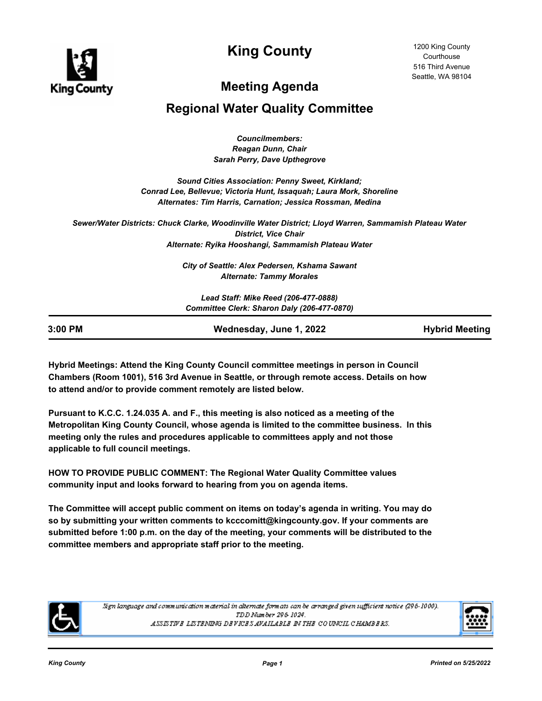

**King County**

# **Meeting Agenda**

## **Regional Water Quality Committee**

*Councilmembers: Reagan Dunn, Chair Sarah Perry, Dave Upthegrove*

*Sound Cities Association: Penny Sweet, Kirkland; Conrad Lee, Bellevue; Victoria Hunt, Issaquah; Laura Mork, Shoreline Alternates: Tim Harris, Carnation; Jessica Rossman, Medina*

*Sewer/Water Districts: Chuck Clarke, Woodinville Water District; Lloyd Warren, Sammamish Plateau Water District, Vice Chair Alternate: Ryika Hooshangi, Sammamish Plateau Water*

> *City of Seattle: Alex Pedersen, Kshama Sawant Alternate: Tammy Morales*

*Lead Staff: Mike Reed (206-477-0888) Committee Clerk: Sharon Daly (206-477-0870)*

| 3:00 PM<br>Wednesday, June 1, 2022 | <b>Hybrid Meeting</b> |
|------------------------------------|-----------------------|

**Hybrid Meetings: Attend the King County Council committee meetings in person in Council Chambers (Room 1001), 516 3rd Avenue in Seattle, or through remote access. Details on how to attend and/or to provide comment remotely are listed below.**

**Pursuant to K.C.C. 1.24.035 A. and F., this meeting is also noticed as a meeting of the Metropolitan King County Council, whose agenda is limited to the committee business. In this meeting only the rules and procedures applicable to committees apply and not those applicable to full council meetings.**

**HOW TO PROVIDE PUBLIC COMMENT: The Regional Water Quality Committee values community input and looks forward to hearing from you on agenda items.**

**The Committee will accept public comment on items on today's agenda in writing. You may do so by submitting your written comments to kcccomitt@kingcounty.gov. If your comments are submitted before 1:00 p.m. on the day of the meeting, your comments will be distributed to the committee members and appropriate staff prior to the meeting.**



Sign language and communication material in alternate formats can be arranged given sufficient notice (296-1000). TDD Number 296-1024. ASSISTIVE LISTENING DEVICES AVAILABLE IN THE COUNCIL CHAMBERS.

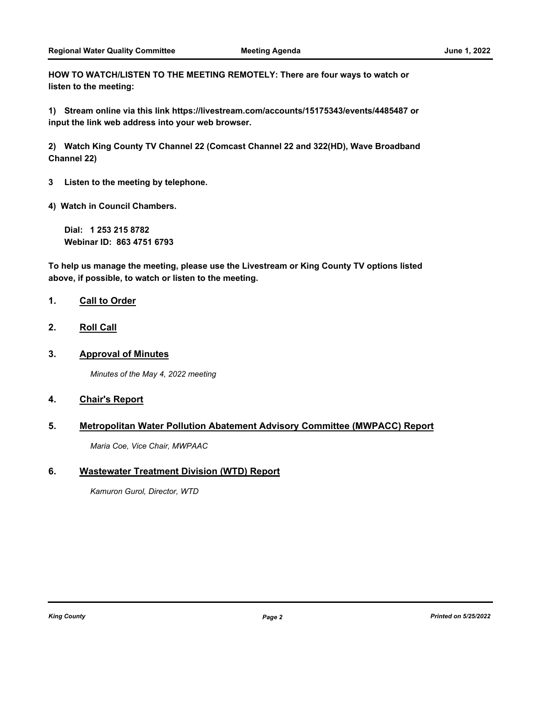**HOW TO WATCH/LISTEN TO THE MEETING REMOTELY: There are four ways to watch or listen to the meeting:**

**1) Stream online via this link https://livestream.com/accounts/15175343/events/4485487 or input the link web address into your web browser.**

**2) Watch King County TV Channel 22 (Comcast Channel 22 and 322(HD), Wave Broadband Channel 22)**

**3 Listen to the meeting by telephone.**

**4) Watch in Council Chambers.**

**Dial: 1 253 215 8782 Webinar ID: 863 4751 6793**

**To help us manage the meeting, please use the Livestream or King County TV options listed above, if possible, to watch or listen to the meeting.**

#### **1. Call to Order**

- **2. Roll Call**
- **3. Approval of Minutes**

*Minutes of the May 4, 2022 meeting*

### **4. Chair's Report**

### **5. Metropolitan Water Pollution Abatement Advisory Committee (MWPACC) Report**

*Maria Coe, Vice Chair, MWPAAC*

### **6. Wastewater Treatment Division (WTD) Report**

*Kamuron Gurol, Director, WTD*